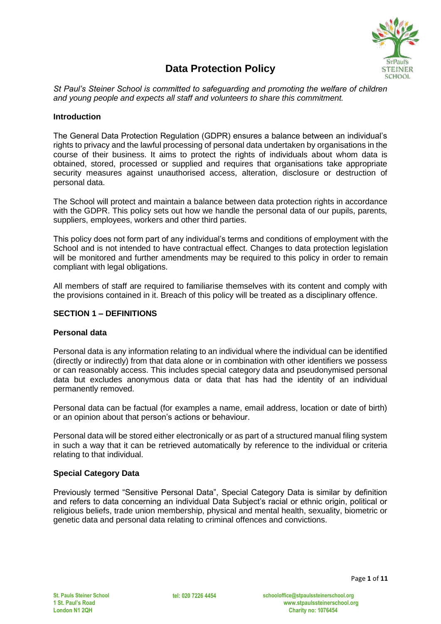

# **Data Protection Policy**

*St Paul's Steiner School is committed to safeguarding and promoting the welfare of children and young people and expects all staff and volunteers to share this commitment.*

## **Introduction**

The General Data Protection Regulation (GDPR) ensures a balance between an individual's rights to privacy and the lawful processing of personal data undertaken by organisations in the course of their business. It aims to protect the rights of individuals about whom data is obtained, stored, processed or supplied and requires that organisations take appropriate security measures against unauthorised access, alteration, disclosure or destruction of personal data.

The School will protect and maintain a balance between data protection rights in accordance with the GDPR. This policy sets out how we handle the personal data of our pupils, parents, suppliers, employees, workers and other third parties.

This policy does not form part of any individual's terms and conditions of employment with the School and is not intended to have contractual effect. Changes to data protection legislation will be monitored and further amendments may be required to this policy in order to remain compliant with legal obligations.

All members of staff are required to familiarise themselves with its content and comply with the provisions contained in it. Breach of this policy will be treated as a disciplinary offence.

## **SECTION 1 – DEFINITIONS**

#### **Personal data**

Personal data is any information relating to an individual where the individual can be identified (directly or indirectly) from that data alone or in combination with other identifiers we possess or can reasonably access. This includes special category data and pseudonymised personal data but excludes anonymous data or data that has had the identity of an individual permanently removed.

Personal data can be factual (for examples a name, email address, location or date of birth) or an opinion about that person's actions or behaviour.

Personal data will be stored either electronically or as part of a structured manual filing system in such a way that it can be retrieved automatically by reference to the individual or criteria relating to that individual.

## **Special Category Data**

Previously termed "Sensitive Personal Data", Special Category Data is similar by definition and refers to data concerning an individual Data Subject's racial or ethnic origin, political or religious beliefs, trade union membership, physical and mental health, sexuality, biometric or genetic data and personal data relating to criminal offences and convictions.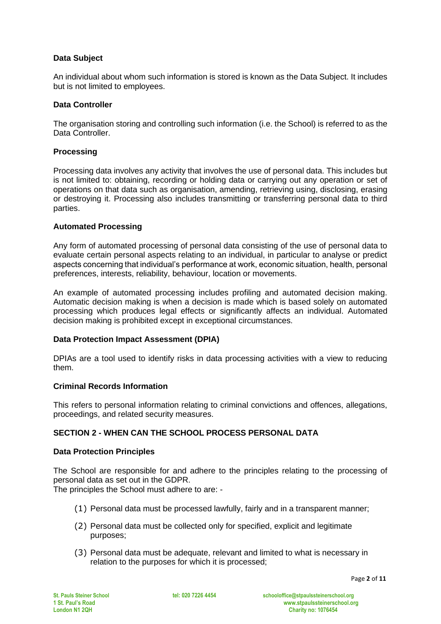# **Data Subject**

An individual about whom such information is stored is known as the Data Subject. It includes but is not limited to employees.

## **Data Controller**

The organisation storing and controlling such information (i.e. the School) is referred to as the Data Controller.

## **Processing**

Processing data involves any activity that involves the use of personal data. This includes but is not limited to: obtaining, recording or holding data or carrying out any operation or set of operations on that data such as organisation, amending, retrieving using, disclosing, erasing or destroying it. Processing also includes transmitting or transferring personal data to third parties.

### **Automated Processing**

Any form of automated processing of personal data consisting of the use of personal data to evaluate certain personal aspects relating to an individual, in particular to analyse or predict aspects concerning that individual's performance at work, economic situation, health, personal preferences, interests, reliability, behaviour, location or movements.

An example of automated processing includes profiling and automated decision making. Automatic decision making is when a decision is made which is based solely on automated processing which produces legal effects or significantly affects an individual. Automated decision making is prohibited except in exceptional circumstances.

#### **Data Protection Impact Assessment (DPIA)**

DPIAs are a tool used to identify risks in data processing activities with a view to reducing them.

## **Criminal Records Information**

This refers to personal information relating to criminal convictions and offences, allegations, proceedings, and related security measures.

## **SECTION 2 - WHEN CAN THE SCHOOL PROCESS PERSONAL DATA**

#### **Data Protection Principles**

The School are responsible for and adhere to the principles relating to the processing of personal data as set out in the GDPR.

The principles the School must adhere to are: -

- (1) Personal data must be processed lawfully, fairly and in a transparent manner;
- (2) Personal data must be collected only for specified, explicit and legitimate purposes;
- (3) Personal data must be adequate, relevant and limited to what is necessary in relation to the purposes for which it is processed;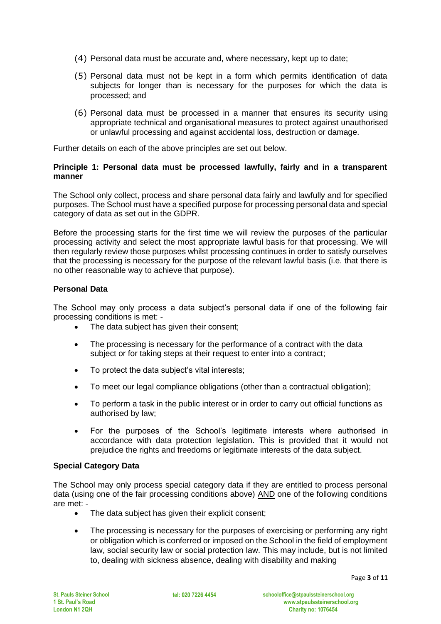- (4) Personal data must be accurate and, where necessary, kept up to date;
- (5) Personal data must not be kept in a form which permits identification of data subjects for longer than is necessary for the purposes for which the data is processed; and
- (6) Personal data must be processed in a manner that ensures its security using appropriate technical and organisational measures to protect against unauthorised or unlawful processing and against accidental loss, destruction or damage.

Further details on each of the above principles are set out below.

### **Principle 1: Personal data must be processed lawfully, fairly and in a transparent manner**

The School only collect, process and share personal data fairly and lawfully and for specified purposes. The School must have a specified purpose for processing personal data and special category of data as set out in the GDPR.

Before the processing starts for the first time we will review the purposes of the particular processing activity and select the most appropriate lawful basis for that processing. We will then regularly review those purposes whilst processing continues in order to satisfy ourselves that the processing is necessary for the purpose of the relevant lawful basis (i.e. that there is no other reasonable way to achieve that purpose).

## **Personal Data**

The School may only process a data subject's personal data if one of the following fair processing conditions is met: -

- The data subject has given their consent:
- The processing is necessary for the performance of a contract with the data subject or for taking steps at their request to enter into a contract:
- To protect the data subject's vital interests;
- To meet our legal compliance obligations (other than a contractual obligation);
- To perform a task in the public interest or in order to carry out official functions as authorised by law;
- For the purposes of the School's legitimate interests where authorised in accordance with data protection legislation. This is provided that it would not prejudice the rights and freedoms or legitimate interests of the data subject.

#### **Special Category Data**

The School may only process special category data if they are entitled to process personal data (using one of the fair processing conditions above) AND one of the following conditions are met: -

- The data subject has given their explicit consent;
- The processing is necessary for the purposes of exercising or performing any right or obligation which is conferred or imposed on the School in the field of employment law, social security law or social protection law. This may include, but is not limited to, dealing with sickness absence, dealing with disability and making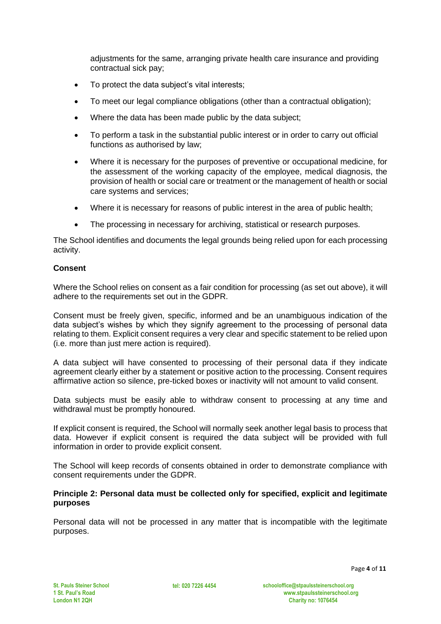adjustments for the same, arranging private health care insurance and providing contractual sick pay;

- To protect the data subject's vital interests;
- To meet our legal compliance obligations (other than a contractual obligation);
- Where the data has been made public by the data subject;
- To perform a task in the substantial public interest or in order to carry out official functions as authorised by law;
- Where it is necessary for the purposes of preventive or occupational medicine, for the assessment of the working capacity of the employee, medical diagnosis, the provision of health or social care or treatment or the management of health or social care systems and services;
- Where it is necessary for reasons of public interest in the area of public health;
- The processing in necessary for archiving, statistical or research purposes.

The School identifies and documents the legal grounds being relied upon for each processing activity.

## **Consent**

Where the School relies on consent as a fair condition for processing (as set out above), it will adhere to the requirements set out in the GDPR.

Consent must be freely given, specific, informed and be an unambiguous indication of the data subject's wishes by which they signify agreement to the processing of personal data relating to them. Explicit consent requires a very clear and specific statement to be relied upon (i.e. more than just mere action is required).

A data subject will have consented to processing of their personal data if they indicate agreement clearly either by a statement or positive action to the processing. Consent requires affirmative action so silence, pre-ticked boxes or inactivity will not amount to valid consent.

Data subjects must be easily able to withdraw consent to processing at any time and withdrawal must be promptly honoured.

If explicit consent is required, the School will normally seek another legal basis to process that data. However if explicit consent is required the data subject will be provided with full information in order to provide explicit consent.

The School will keep records of consents obtained in order to demonstrate compliance with consent requirements under the GDPR.

### **Principle 2: Personal data must be collected only for specified, explicit and legitimate purposes**

Personal data will not be processed in any matter that is incompatible with the legitimate purposes.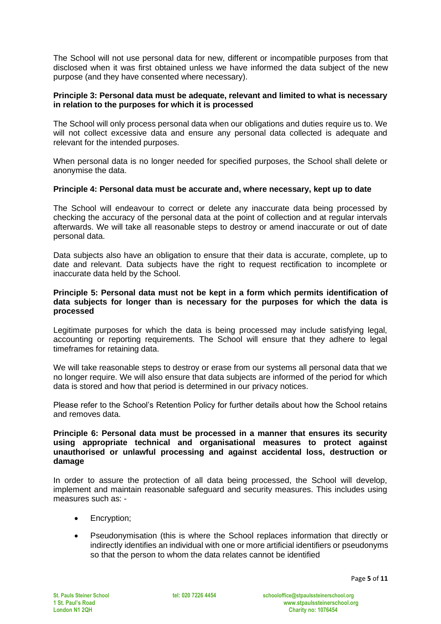The School will not use personal data for new, different or incompatible purposes from that disclosed when it was first obtained unless we have informed the data subject of the new purpose (and they have consented where necessary).

## **Principle 3: Personal data must be adequate, relevant and limited to what is necessary in relation to the purposes for which it is processed**

The School will only process personal data when our obligations and duties require us to. We will not collect excessive data and ensure any personal data collected is adequate and relevant for the intended purposes.

When personal data is no longer needed for specified purposes, the School shall delete or anonymise the data.

### **Principle 4: Personal data must be accurate and, where necessary, kept up to date**

The School will endeavour to correct or delete any inaccurate data being processed by checking the accuracy of the personal data at the point of collection and at regular intervals afterwards. We will take all reasonable steps to destroy or amend inaccurate or out of date personal data.

Data subjects also have an obligation to ensure that their data is accurate, complete, up to date and relevant. Data subjects have the right to request rectification to incomplete or inaccurate data held by the School.

#### **Principle 5: Personal data must not be kept in a form which permits identification of data subjects for longer than is necessary for the purposes for which the data is processed**

Legitimate purposes for which the data is being processed may include satisfying legal, accounting or reporting requirements. The School will ensure that they adhere to legal timeframes for retaining data.

We will take reasonable steps to destroy or erase from our systems all personal data that we no longer require. We will also ensure that data subjects are informed of the period for which data is stored and how that period is determined in our privacy notices.

Please refer to the School's Retention Policy for further details about how the School retains and removes data.

#### **Principle 6: Personal data must be processed in a manner that ensures its security using appropriate technical and organisational measures to protect against unauthorised or unlawful processing and against accidental loss, destruction or damage**

In order to assure the protection of all data being processed, the School will develop, implement and maintain reasonable safeguard and security measures. This includes using measures such as: -

- Encryption:
- Pseudonymisation (this is where the School replaces information that directly or indirectly identifies an individual with one or more artificial identifiers or pseudonyms so that the person to whom the data relates cannot be identified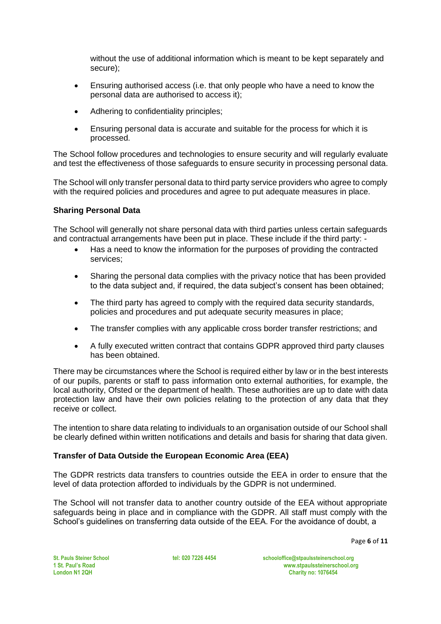without the use of additional information which is meant to be kept separately and secure);

- Ensuring authorised access (i.e. that only people who have a need to know the personal data are authorised to access it);
- Adhering to confidentiality principles;
- Ensuring personal data is accurate and suitable for the process for which it is processed.

The School follow procedures and technologies to ensure security and will regularly evaluate and test the effectiveness of those safeguards to ensure security in processing personal data.

The School will only transfer personal data to third party service providers who agree to comply with the required policies and procedures and agree to put adequate measures in place.

## **Sharing Personal Data**

The School will generally not share personal data with third parties unless certain safeguards and contractual arrangements have been put in place. These include if the third party: -

- Has a need to know the information for the purposes of providing the contracted services;
- Sharing the personal data complies with the privacy notice that has been provided to the data subject and, if required, the data subject's consent has been obtained;
- The third party has agreed to comply with the required data security standards, policies and procedures and put adequate security measures in place;
- The transfer complies with any applicable cross border transfer restrictions; and
- A fully executed written contract that contains GDPR approved third party clauses has been obtained.

There may be circumstances where the School is required either by law or in the best interests of our pupils, parents or staff to pass information onto external authorities, for example, the local authority, Ofsted or the department of health. These authorities are up to date with data protection law and have their own policies relating to the protection of any data that they receive or collect.

The intention to share data relating to individuals to an organisation outside of our School shall be clearly defined within written notifications and details and basis for sharing that data given.

## **Transfer of Data Outside the European Economic Area (EEA)**

The GDPR restricts data transfers to countries outside the EEA in order to ensure that the level of data protection afforded to individuals by the GDPR is not undermined.

The School will not transfer data to another country outside of the EEA without appropriate safeguards being in place and in compliance with the GDPR. All staff must comply with the School's guidelines on transferring data outside of the EEA. For the avoidance of doubt, a

Page **6** of **11**

**St. Pauls Steiner School 1 St. Paul's Road London N1 2QH**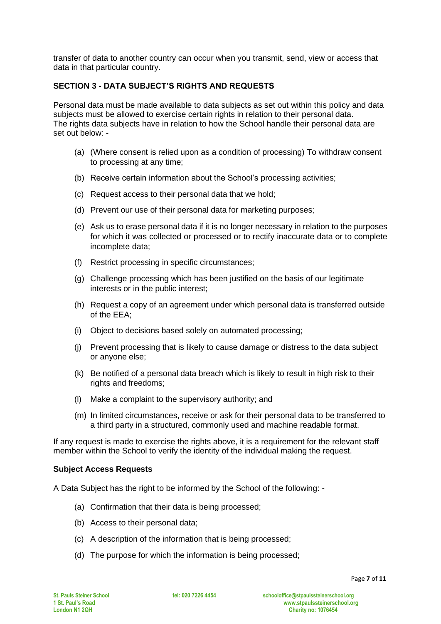transfer of data to another country can occur when you transmit, send, view or access that data in that particular country.

# **SECTION 3 - DATA SUBJECT'S RIGHTS AND REQUESTS**

Personal data must be made available to data subjects as set out within this policy and data subjects must be allowed to exercise certain rights in relation to their personal data. The rights data subjects have in relation to how the School handle their personal data are set out below: -

- (a) (Where consent is relied upon as a condition of processing) To withdraw consent to processing at any time;
- (b) Receive certain information about the School's processing activities;
- (c) Request access to their personal data that we hold;
- (d) Prevent our use of their personal data for marketing purposes;
- (e) Ask us to erase personal data if it is no longer necessary in relation to the purposes for which it was collected or processed or to rectify inaccurate data or to complete incomplete data;
- (f) Restrict processing in specific circumstances;
- (g) Challenge processing which has been justified on the basis of our legitimate interests or in the public interest;
- (h) Request a copy of an agreement under which personal data is transferred outside of the EEA;
- (i) Object to decisions based solely on automated processing;
- (j) Prevent processing that is likely to cause damage or distress to the data subject or anyone else;
- (k) Be notified of a personal data breach which is likely to result in high risk to their rights and freedoms;
- (l) Make a complaint to the supervisory authority; and
- (m) In limited circumstances, receive or ask for their personal data to be transferred to a third party in a structured, commonly used and machine readable format.

If any request is made to exercise the rights above, it is a requirement for the relevant staff member within the School to verify the identity of the individual making the request.

#### **Subject Access Requests**

A Data Subject has the right to be informed by the School of the following: -

- (a) Confirmation that their data is being processed;
- (b) Access to their personal data;
- (c) A description of the information that is being processed;
- (d) The purpose for which the information is being processed;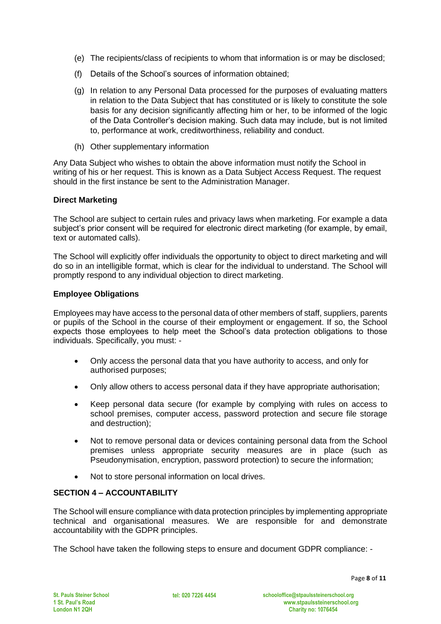- (e) The recipients/class of recipients to whom that information is or may be disclosed;
- (f) Details of the School's sources of information obtained;
- (g) In relation to any Personal Data processed for the purposes of evaluating matters in relation to the Data Subject that has constituted or is likely to constitute the sole basis for any decision significantly affecting him or her, to be informed of the logic of the Data Controller's decision making. Such data may include, but is not limited to, performance at work, creditworthiness, reliability and conduct.
- (h) Other supplementary information

Any Data Subject who wishes to obtain the above information must notify the School in writing of his or her request. This is known as a Data Subject Access Request. The request should in the first instance be sent to the Administration Manager.

## **Direct Marketing**

The School are subject to certain rules and privacy laws when marketing. For example a data subject's prior consent will be required for electronic direct marketing (for example, by email, text or automated calls).

The School will explicitly offer individuals the opportunity to object to direct marketing and will do so in an intelligible format, which is clear for the individual to understand. The School will promptly respond to any individual objection to direct marketing.

## **Employee Obligations**

Employees may have access to the personal data of other members of staff, suppliers, parents or pupils of the School in the course of their employment or engagement. If so, the School expects those employees to help meet the School's data protection obligations to those individuals. Specifically, you must: -

- Only access the personal data that you have authority to access, and only for authorised purposes;
- Only allow others to access personal data if they have appropriate authorisation;
- Keep personal data secure (for example by complying with rules on access to school premises, computer access, password protection and secure file storage and destruction);
- Not to remove personal data or devices containing personal data from the School premises unless appropriate security measures are in place (such as Pseudonymisation, encryption, password protection) to secure the information;
- Not to store personal information on local drives.

# **SECTION 4 – ACCOUNTABILITY**

The School will ensure compliance with data protection principles by implementing appropriate technical and organisational measures. We are responsible for and demonstrate accountability with the GDPR principles.

The School have taken the following steps to ensure and document GDPR compliance: -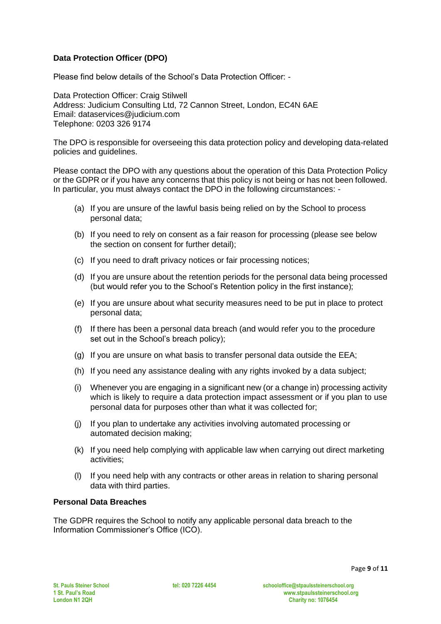# **Data Protection Officer (DPO)**

Please find below details of the School's Data Protection Officer: -

Data Protection Officer: Craig Stilwell Address: Judicium Consulting Ltd, 72 Cannon Street, London, EC4N 6AE Email: [dataservices@judicium.com](mailto:dataservices@judicium.com) Telephone: 0203 326 9174

The DPO is responsible for overseeing this data protection policy and developing data-related policies and guidelines.

Please contact the DPO with any questions about the operation of this Data Protection Policy or the GDPR or if you have any concerns that this policy is not being or has not been followed. In particular, you must always contact the DPO in the following circumstances: -

- (a) If you are unsure of the lawful basis being relied on by the School to process personal data;
- (b) If you need to rely on consent as a fair reason for processing (please see below the section on consent for further detail);
- (c) If you need to draft privacy notices or fair processing notices;
- (d) If you are unsure about the retention periods for the personal data being processed (but would refer you to the School's Retention policy in the first instance);
- (e) If you are unsure about what security measures need to be put in place to protect personal data;
- (f) If there has been a personal data breach (and would refer you to the procedure set out in the School's breach policy);
- (g) If you are unsure on what basis to transfer personal data outside the EEA;
- (h) If you need any assistance dealing with any rights invoked by a data subject;
- (i) Whenever you are engaging in a significant new (or a change in) processing activity which is likely to require a data protection impact assessment or if you plan to use personal data for purposes other than what it was collected for;
- (j) If you plan to undertake any activities involving automated processing or automated decision making;
- (k) If you need help complying with applicable law when carrying out direct marketing activities;
- (l) If you need help with any contracts or other areas in relation to sharing personal data with third parties.

#### **Personal Data Breaches**

The GDPR requires the School to notify any applicable personal data breach to the Information Commissioner's Office (ICO).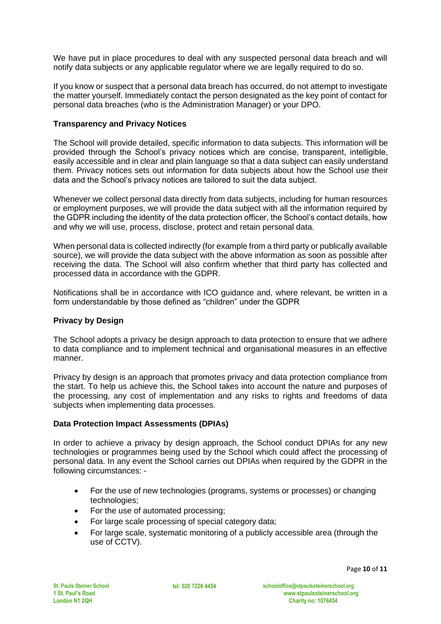We have put in place procedures to deal with any suspected personal data breach and will notify data subjects or any applicable regulator where we are legally required to do so.

If you know or suspect that a personal data breach has occurred, do not attempt to investigate the matter yourself. Immediately contact the person designated as the key point of contact for personal data breaches (who is the Administration Manager) or your DPO.

## **Transparency and Privacy Notices**

The School will provide detailed, specific information to data subjects. This information will be provided through the School's privacy notices which are concise, transparent, intelligible, easily accessible and in clear and plain language so that a data subject can easily understand them. Privacy notices sets out information for data subjects about how the School use their data and the School's privacy notices are tailored to suit the data subject.

Whenever we collect personal data directly from data subjects, including for human resources or employment purposes, we will provide the data subject with all the information required by the GDPR including the identity of the data protection officer, the School's contact details, how and why we will use, process, disclose, protect and retain personal data.

When personal data is collected indirectly (for example from a third party or publically available source), we will provide the data subject with the above information as soon as possible after receiving the data. The School will also confirm whether that third party has collected and processed data in accordance with the GDPR.

Notifications shall be in accordance with ICO guidance and, where relevant, be written in a form understandable by those defined as "children" under the GDPR

## **Privacy by Design**

The School adopts a privacy be design approach to data protection to ensure that we adhere to data compliance and to implement technical and organisational measures in an effective manner.

Privacy by design is an approach that promotes privacy and data protection compliance from the start. To help us achieve this, the School takes into account the nature and purposes of the processing, any cost of implementation and any risks to rights and freedoms of data subjects when implementing data processes.

#### **Data Protection Impact Assessments (DPIAs)**

In order to achieve a privacy by design approach, the School conduct DPIAs for any new technologies or programmes being used by the School which could affect the processing of personal data. In any event the School carries out DPIAs when required by the GDPR in the following circumstances: -

- For the use of new technologies (programs, systems or processes) or changing technologies;
- For the use of automated processing;
- For large scale processing of special category data;
- For large scale, systematic monitoring of a publicly accessible area (through the use of CCTV).